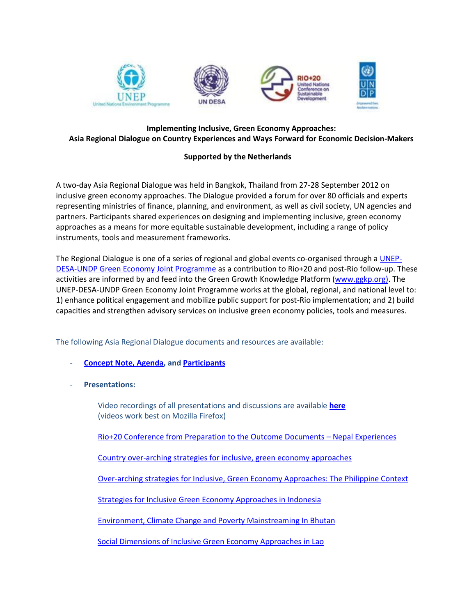

## **Implementing Inclusive, Green Economy Approaches: Asia Regional Dialogue on Country Experiences and Ways Forward for Economic Decision-Makers**

## **Supported by the Netherlands**

A two-day Asia Regional Dialogue was held in Bangkok, Thailand from 27-28 September 2012 on inclusive green economy approaches. The Dialogue provided a forum for over 80 officials and experts representing ministries of finance, planning, and environment, as well as civil society, UN agencies and partners. Participants shared experiences on designing and implementing inclusive, green economy approaches as a means for more equitable sustainable development, including a range of policy instruments, tools and measurement frameworks.

The Regional Dialogue is one of a series of regional and global events co-organised through [a UNEP-](http://mptf.undp.org/factsheet/fund/JXA00)[DESA-UNDP Green Economy Joint Programme](http://mptf.undp.org/factsheet/fund/JXA00) as a contribution to Rio+20 and post-Rio follow-up. These activities are informed by and feed into the Green Growth Knowledge Platform [\(www.ggkp.org\)](http://www.ggkp.org/). The UNEP-DESA-UNDP Green Economy Joint Programme works at the global, regional, and national level to: 1) enhance political engagement and mobilize public support for post-Rio implementation; and 2) build capacities and strengthen advisory services on inclusive green economy policies, tools and measures.

The following Asia Regional Dialogue documents and resources are available:

- **[Concept Note, Agenda,](http://mptf.undp.org/document/download/10096) an[d Participants](http://mptf.undp.org/document/download/10097)**
- **Presentations:**

Video recordings of all presentations and discussions are available **[here](http://www.ustream.tv/recorded/25761235)** (videos work best on Mozilla Firefox)

[Rio+20 Conference from Preparation to the Outcome Documents](http://mptf.undp.org/document/download/10092) – Nepal Experiences

[Country over-arching strategies for inclusive, green economy approaches](http://mptf.undp.org/document/download/10084)

[Over-arching strategies for Inclusive, Green Economy Approaches: The Philippine Context](http://mptf.undp.org/document/download/10090)

[Strategies for Inclusive Green Economy Approaches in Indonesia](http://mptf.undp.org/document/download/10089)

[Environment, Climate Change and Poverty Mainstreaming In Bhutan](http://mptf.undp.org/document/download/10087)

[Social Dimensions of Inclusive Green Economy Approaches in Lao](http://mptf.undp.org/document/download/10093)